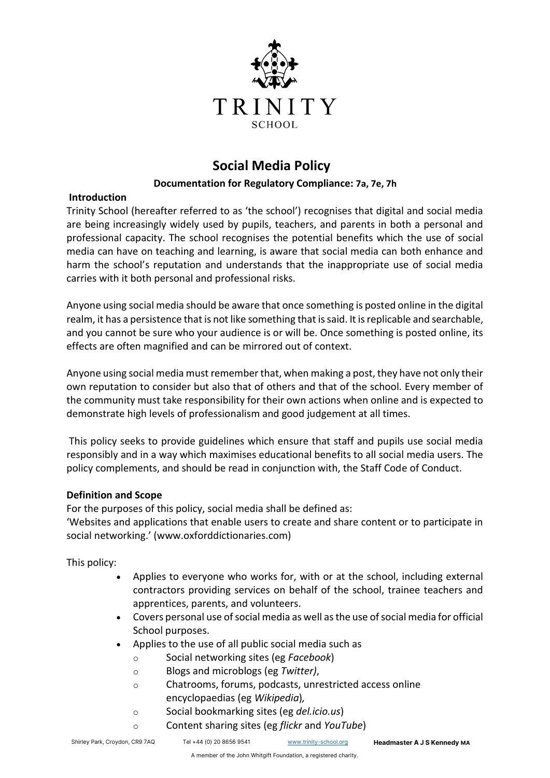

# **Social Media Policy**

## **Documentation for Regulatory Compliance: 7a, 7e, 7h**

## **Introduction**

Trinity School (hereafter referred to as 'the school') recognises that digital and social media are being increasingly widely used by pupils, teachers, and parents in both a personal and professional capacity. The school recognises the potential benefits which the use of social media can have on teaching and learning, is aware that social media can both enhance and harm the school's reputation and understands that the inappropriate use of social media carries with it both personal and professional risks.

Anyone using social media should be aware that once something is posted online in the digital realm, it has a persistence that is not like something that is said. It is replicable and searchable, and you cannot be sure who your audience is or will be. Once something is posted online, its effects are often magnified and can be mirrored out of context.

Anyone using social media must remember that, when making a post, they have not only their own reputation to consider but also that of others and that of the school. Every member of the community must take responsibility for their own actions when online and is expected to demonstrate high levels of professionalism and good judgement at all times.

This policy seeks to provide guidelines which ensure that staff and pupils use social media responsibly and in a way which maximises educational benefits to all social media users. The policy complements, and should be read in conjunction with, the Staff Code of Conduct.

## **Definition and Scope**

For the purposes of this policy, social media shall be defined as:

'Websites and applications that enable users to create and share content or to participate in social networking.' (www.oxforddictionaries.com)

This policy:

- Applies to everyone who works for, with or at the school, including external contractors providing services on behalf of the school, trainee teachers and apprentices, parents, and volunteers.
- Covers personal use of social media as well as the use of social media for official School purposes.
- Applies to the use of all public social media such as
	- o Social networking sites (eg *Facebook*)
	- o Blogs and microblogs (eg *Twitter)*,
	- o Chatrooms, forums, podcasts, unrestricted access online encyclopaedias (eg *Wikipedia*)*,*
	- o Social bookmarking sites (eg *del.icio.us*)
	- o Content sharing sites (eg *flickr* and *YouTube*)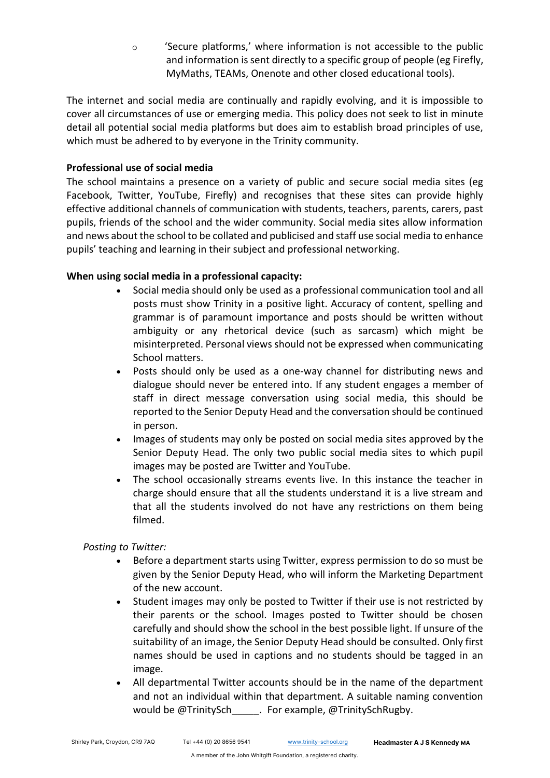$\circ$  'Secure platforms,' where information is not accessible to the public and information is sent directly to a specific group of people (eg Firefly, MyMaths, TEAMs, Onenote and other closed educational tools).

The internet and social media are continually and rapidly evolving, and it is impossible to cover all circumstances of use or emerging media. This policy does not seek to list in minute detail all potential social media platforms but does aim to establish broad principles of use, which must be adhered to by everyone in the Trinity community.

## **Professional use of social media**

The school maintains a presence on a variety of public and secure social media sites (eg Facebook, Twitter, YouTube, Firefly) and recognises that these sites can provide highly effective additional channels of communication with students, teachers, parents, carers, past pupils, friends of the school and the wider community. Social media sites allow information and news about the school to be collated and publicised and staff use social media to enhance pupils' teaching and learning in their subject and professional networking.

#### **When using social media in a professional capacity:**

- Social media should only be used as a professional communication tool and all posts must show Trinity in a positive light. Accuracy of content, spelling and grammar is of paramount importance and posts should be written without ambiguity or any rhetorical device (such as sarcasm) which might be misinterpreted. Personal views should not be expressed when communicating School matters.
- Posts should only be used as a one-way channel for distributing news and dialogue should never be entered into. If any student engages a member of staff in direct message conversation using social media, this should be reported to the Senior Deputy Head and the conversation should be continued in person.
- Images of students may only be posted on social media sites approved by the Senior Deputy Head. The only two public social media sites to which pupil images may be posted are Twitter and YouTube.
- The school occasionally streams events live. In this instance the teacher in charge should ensure that all the students understand it is a live stream and that all the students involved do not have any restrictions on them being filmed.

## *Posting to Twitter:*

- Before a department starts using Twitter, express permission to do so must be given by the Senior Deputy Head, who will inform the Marketing Department of the new account.
- Student images may only be posted to Twitter if their use is not restricted by their parents or the school. Images posted to Twitter should be chosen carefully and should show the school in the best possible light. If unsure of the suitability of an image, the Senior Deputy Head should be consulted. Only first names should be used in captions and no students should be tagged in an image.
- All departmental Twitter accounts should be in the name of the department and not an individual within that department. A suitable naming convention would be @TrinitySch . For example, @TrinitySchRugby.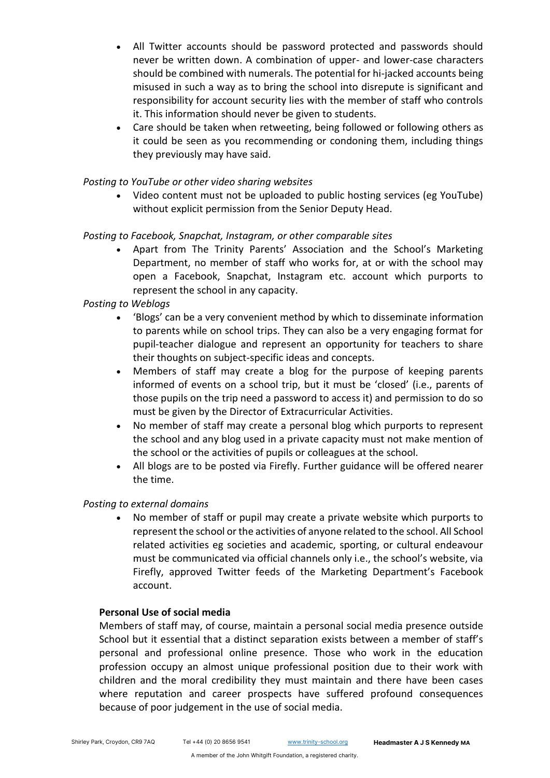- All Twitter accounts should be password protected and passwords should never be written down. A combination of upper- and lower-case characters should be combined with numerals. The potential for hi-jacked accounts being misused in such a way as to bring the school into disrepute is significant and responsibility for account security lies with the member of staff who controls it. This information should never be given to students.
- Care should be taken when retweeting, being followed or following others as it could be seen as you recommending or condoning them, including things they previously may have said.

#### *Posting to YouTube or other video sharing websites*

• Video content must not be uploaded to public hosting services (eg YouTube) without explicit permission from the Senior Deputy Head.

#### *Posting to Facebook, Snapchat, Instagram, or other comparable sites*

• Apart from The Trinity Parents' Association and the School's Marketing Department, no member of staff who works for, at or with the school may open a Facebook, Snapchat, Instagram etc. account which purports to represent the school in any capacity.

## *Posting to Weblogs*

- 'Blogs' can be a very convenient method by which to disseminate information to parents while on school trips. They can also be a very engaging format for pupil-teacher dialogue and represent an opportunity for teachers to share their thoughts on subject-specific ideas and concepts.
- Members of staff may create a blog for the purpose of keeping parents informed of events on a school trip, but it must be 'closed' (i.e., parents of those pupils on the trip need a password to access it) and permission to do so must be given by the Director of Extracurricular Activities.
- No member of staff may create a personal blog which purports to represent the school and any blog used in a private capacity must not make mention of the school or the activities of pupils or colleagues at the school.
- All blogs are to be posted via Firefly. Further guidance will be offered nearer the time.

#### *Posting to external domains*

• No member of staff or pupil may create a private website which purports to represent the school or the activities of anyone related to the school. All School related activities eg societies and academic, sporting, or cultural endeavour must be communicated via official channels only i.e., the school's website, via Firefly, approved Twitter feeds of the Marketing Department's Facebook account.

#### **Personal Use of social media**

Members of staff may, of course, maintain a personal social media presence outside School but it essential that a distinct separation exists between a member of staff's personal and professional online presence. Those who work in the education profession occupy an almost unique professional position due to their work with children and the moral credibility they must maintain and there have been cases where reputation and career prospects have suffered profound consequences because of poor judgement in the use of social media.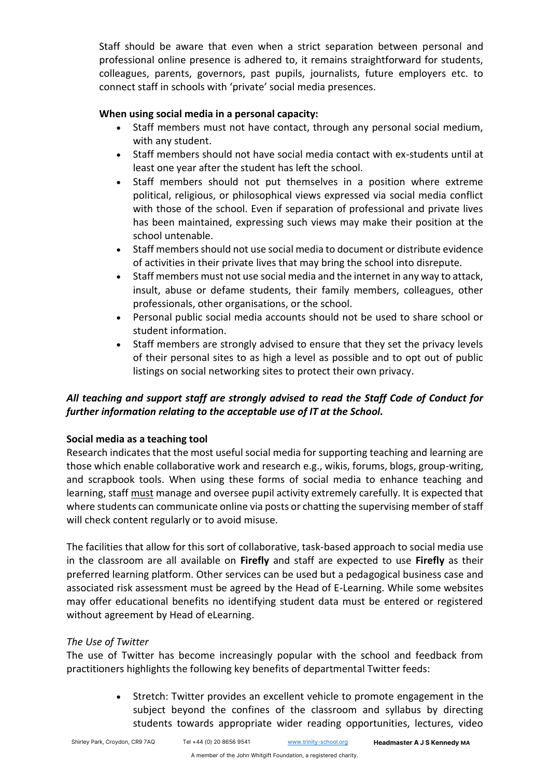Staff should be aware that even when a strict separation between personal and professional online presence is adhered to, it remains straightforward for students, colleagues, parents, governors, past pupils, journalists, future employers etc. to connect staff in schools with 'private' social media presences.

## **When using social media in a personal capacity:**

- Staff members must not have contact, through any personal social medium, with any student.
- Staff members should not have social media contact with ex-students until at least one year after the student has left the school.
- Staff members should not put themselves in a position where extreme political, religious, or philosophical views expressed via social media conflict with those of the school. Even if separation of professional and private lives has been maintained, expressing such views may make their position at the school untenable.
- Staff members should not use social media to document or distribute evidence of activities in their private lives that may bring the school into disrepute.
- Staff members must not use social media and the internet in any way to attack, insult, abuse or defame students, their family members, colleagues, other professionals, other organisations, or the school.
- Personal public social media accounts should not be used to share school or student information.
- Staff members are strongly advised to ensure that they set the privacy levels of their personal sites to as high a level as possible and to opt out of public listings on social networking sites to protect their own privacy.

# *All teaching and support staff are strongly advised to read the Staff Code of Conduct for further information relating to the acceptable use of IT at the School.*

# **Social media as a teaching tool**

Research indicates that the most useful social media for supporting teaching and learning are those which enable collaborative work and research e.g., wikis, forums, blogs, group-writing, and scrapbook tools. When using these forms of social media to enhance teaching and learning, staff must manage and oversee pupil activity extremely carefully. It is expected that where students can communicate online via posts or chatting the supervising member of staff will check content regularly or to avoid misuse.

The facilities that allow for this sort of collaborative, task-based approach to social media use in the classroom are all available on **Firefly** and staff are expected to use **Firefly** as their preferred learning platform. Other services can be used but a pedagogical business case and associated risk assessment must be agreed by the Head of E-Learning. While some websites may offer educational benefits no identifying student data must be entered or registered without agreement by Head of eLearning.

# *The Use of Twitter*

The use of Twitter has become increasingly popular with the school and feedback from practitioners highlights the following key benefits of departmental Twitter feeds:

> • Stretch: Twitter provides an excellent vehicle to promote engagement in the subject beyond the confines of the classroom and syllabus by directing students towards appropriate wider reading opportunities, lectures, video